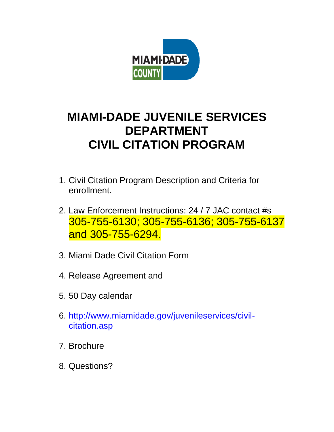

# **MIAMI-DADE JUVENILE SERVICES DEPARTMENT CIVIL CITATION PROGRAM**

- 1. Civil Citation Program Description and Criteria for enrollment.
- 2. Law Enforcement Instructions: 24 / 7 JAC contact #s 305-755-6130; 305-755-6136; 305-755-6137 and 305-755-6294.
- 3. Miami Dade Civil Citation Form
- 4. Release Agreement and
- 5. 50 Day calendar
- 6. [http://www.miamidade.gov/juvenileservices/civil](http://www.miamidade.gov/juvenileservices/civil-citation.asp)[citation.asp](http://www.miamidade.gov/juvenileservices/civil-citation.asp)
- 7. Brochure
- 8. Questions?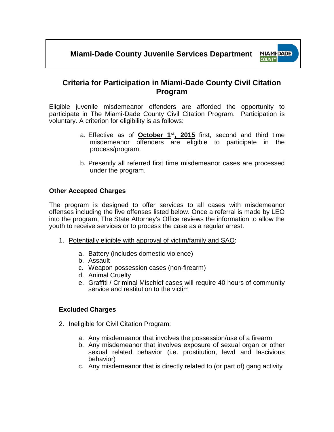

### **Criteria for Participation in Miami-Dade County Civil Citation Program**

Eligible juvenile misdemeanor offenders are afforded the opportunity to participate in The Miami-Dade County Civil Citation Program. Participation is voluntary. A criterion for eligibility is as follows:

- a. Effective as of **October 1**<sup>st</sup>, 2015 first, second and third time misdemeanor offenders are eligible to participate in the process/program.
- b. Presently all referred first time misdemeanor cases are processed under the program.

### **Other Accepted Charges**

The program is designed to offer services to all cases with misdemeanor offenses including the five offenses listed below. Once a referral is made by LEO into the program, The State Attorney's Office reviews the information to allow the youth to receive services or to process the case as a regular arrest.

- 1. Potentially eligible with approval of victim/family and SAO:
	- a. Battery (includes domestic violence)
	- b. Assault
	- c. Weapon possession cases (non-firearm)
	- d. Animal Cruelty
	- e. Graffiti / Criminal Mischief cases will require 40 hours of community service and restitution to the victim

### **Excluded Charges**

- 2. Ineligible for Civil Citation Program:
	- a. Any misdemeanor that involves the possession/use of a firearm
	- b. Any misdemeanor that involves exposure of sexual organ or other sexual related behavior (i.e. prostitution, lewd and lascivious behavior)
	- c. Any misdemeanor that is directly related to (or part of) gang activity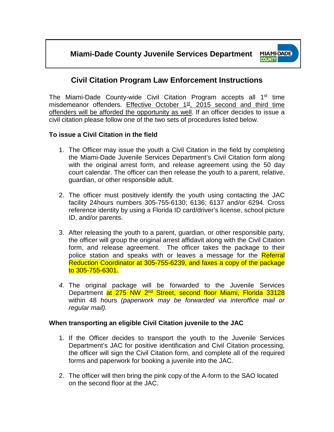

## **Civil Citation Program Law Enforcement Instructions**

The Miami-Dade County-wide Civil Citation Program accepts all 1<sup>st</sup> time misdemeanor offenders. Effective October  $1<sup>st</sup>$ , 2015 second and third time offenders will be afforded the opportunity as well. If an officer decides to issue a civil citation please follow one of the two sets of procedures listed below.

### **To issue a Civil Citation in the field**

- 1. The Officer may issue the youth a Civil Citation in the field by completing the Miami-Dade Juvenile Services Department's Civil Citation form along with the original arrest form, and release agreement using the 50 day court calendar. The officer can then release the youth to a parent, relative, guardian, or other responsible adult.
- 2. The officer must positively identify the youth using contacting the JAC facility 24hours numbers 305-755-6130; 6136; 6137 and/or 6294. Cross reference identity by using a Florida ID card/driver's license, school picture ID, and/or parents.
- 3. After releasing the youth to a parent, guardian, or other responsible party, the officer will group the original arrest affidavit along with the Civil Citation form, and release agreement. The officer takes the package to their police station and speaks with or leaves a message for the Referral Reduction Coordinator at 305-755-6239, and faxes a copy of the package to 305-755-6301.
- *4.* The original package will be forwarded to the Juvenile Services Department at 275 NW 2<sup>nd</sup> Street, second floor Miami, Florida 33128 within 48 hours *(paperwork may be forwarded via interoffice mail or regular mail).*

### **When transporting an eligible Civil Citation juvenile to the JAC**

- 1. If the Officer decides to transport the youth to the Juvenile Services Department's JAC for positive identification and Civil Citation processing, the officer will sign the Civil Citation form, and complete all of the required forms and paperwork for booking a juvenile into the JAC.
- 2. The officer will then bring the pink copy of the A-form to the SAO located on the second floor at the JAC.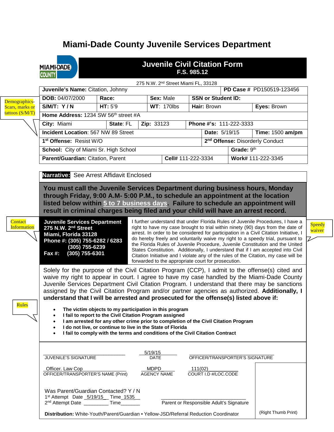## **Miami-Dade County Juvenile Services Department**

|                    | <b>Juvenile Civil Citation Form</b><br><b>MIAMI-DADE</b><br>F.S. 985.12<br><b>COUNTY</b>                                                                                                                                                                         |                                                    |                                                                                                                                                |                    |                                   |            |                                                                                                                                                                          |               |  |
|--------------------|------------------------------------------------------------------------------------------------------------------------------------------------------------------------------------------------------------------------------------------------------------------|----------------------------------------------------|------------------------------------------------------------------------------------------------------------------------------------------------|--------------------|-----------------------------------|------------|--------------------------------------------------------------------------------------------------------------------------------------------------------------------------|---------------|--|
|                    | 275 N.W. 2 <sup>nd</sup> Street Miami FL, 33128                                                                                                                                                                                                                  |                                                    |                                                                                                                                                |                    |                                   |            |                                                                                                                                                                          |               |  |
|                    | Juvenile's Name: Citation, Johnny<br>PD Case # PD150519-123456                                                                                                                                                                                                   |                                                    |                                                                                                                                                |                    |                                   |            |                                                                                                                                                                          |               |  |
| Demographics-      | DOB: 04/07/2000                                                                                                                                                                                                                                                  | Race:                                              | Sex: Male<br><b>SSN or Student ID:</b>                                                                                                         |                    |                                   |            |                                                                                                                                                                          |               |  |
| Scars, marks or    | $S/M/T$ : Y/N                                                                                                                                                                                                                                                    | HT: 5'9                                            | <b>WT: 170lbs</b>                                                                                                                              |                    | Hair: Brown                       |            | Eyes: Brown                                                                                                                                                              |               |  |
| tattoos (S/M/T)    | Home Address: 1234 SW 56th street #A                                                                                                                                                                                                                             |                                                    |                                                                                                                                                |                    |                                   |            |                                                                                                                                                                          |               |  |
|                    | City: Miami                                                                                                                                                                                                                                                      | Phone #'s: 111-222-3333<br>Zip: 33123<br>State: FL |                                                                                                                                                |                    |                                   |            |                                                                                                                                                                          |               |  |
|                    | <b>Incident Location: 567 NW 89 Street</b>                                                                                                                                                                                                                       |                                                    |                                                                                                                                                |                    | Date: 5/19/15<br>Time: 1500 am/pm |            |                                                                                                                                                                          |               |  |
|                    | 1 <sup>st</sup> Offense: Resist W/O                                                                                                                                                                                                                              |                                                    |                                                                                                                                                |                    |                                   |            | 2 <sup>nd</sup> Offense: Disorderly Conduct                                                                                                                              |               |  |
|                    | School: City of Miami Sr. High School                                                                                                                                                                                                                            |                                                    |                                                                                                                                                |                    |                                   | Grade: 9th |                                                                                                                                                                          |               |  |
|                    | Parent/Guardian: Citation, Parent                                                                                                                                                                                                                                |                                                    |                                                                                                                                                | Cell# 111-222-3334 |                                   |            | Work# 111-222-3345                                                                                                                                                       |               |  |
|                    |                                                                                                                                                                                                                                                                  |                                                    |                                                                                                                                                |                    |                                   |            |                                                                                                                                                                          |               |  |
|                    |                                                                                                                                                                                                                                                                  |                                                    |                                                                                                                                                |                    |                                   |            |                                                                                                                                                                          |               |  |
|                    | Narrative: See Arrest Affidavit Enclosed                                                                                                                                                                                                                         |                                                    |                                                                                                                                                |                    |                                   |            |                                                                                                                                                                          |               |  |
|                    | You must call the Juvenile Services Department during business hours, Monday                                                                                                                                                                                     |                                                    |                                                                                                                                                |                    |                                   |            |                                                                                                                                                                          |               |  |
|                    | through Friday, 9:00 A.M- 5:00 P.M., to schedule an appointment at the location                                                                                                                                                                                  |                                                    |                                                                                                                                                |                    |                                   |            |                                                                                                                                                                          |               |  |
|                    | listed below within 5 to 7 business days. Failure to schedule an appointment will                                                                                                                                                                                |                                                    |                                                                                                                                                |                    |                                   |            |                                                                                                                                                                          |               |  |
|                    | result in criminal charges being filed and your child will have an arrest record.                                                                                                                                                                                |                                                    |                                                                                                                                                |                    |                                   |            |                                                                                                                                                                          |               |  |
| Contact            | <b>Juvenile Services Department</b>                                                                                                                                                                                                                              |                                                    |                                                                                                                                                |                    |                                   |            | I further understand that under Florida Rules of Juvenile Procedures, I have a                                                                                           | <b>Speedy</b> |  |
| <b>Information</b> | 275 N.W. 2 <sup>nd</sup> Street                                                                                                                                                                                                                                  |                                                    |                                                                                                                                                |                    |                                   |            | right to have my case brought to trial within ninety (90) days from the date of<br>arrest. In order to be considered for participation in a Civil Citation Initiative, I | waiver        |  |
|                    | Miami, Florida 33128<br>Phone #: (305) 755-6282 / 6283                                                                                                                                                                                                           |                                                    |                                                                                                                                                |                    |                                   |            | do hereby freely and voluntarily waive my right to a speedy trial, pursuant to                                                                                           |               |  |
|                    | $(305)$ 755-6239                                                                                                                                                                                                                                                 |                                                    |                                                                                                                                                |                    |                                   |            | the Florida Rules of Juvenile Procedure, Juvenile Constitution and the United                                                                                            |               |  |
|                    | (305) 755-6301<br><b>Fax #:</b>                                                                                                                                                                                                                                  |                                                    |                                                                                                                                                |                    |                                   |            | States Constitution. Additionally, I understand that if I am accepted into Civil                                                                                         |               |  |
|                    | Citation Initiative and I violate any of the rules of the Citation, my case will be<br>forwarded to the appropriate court for prosecution.                                                                                                                       |                                                    |                                                                                                                                                |                    |                                   |            |                                                                                                                                                                          |               |  |
|                    |                                                                                                                                                                                                                                                                  |                                                    |                                                                                                                                                |                    |                                   |            | Solely for the purpose of the Civil Citation Program (CCP), I admit to the offense(s) cited and                                                                          |               |  |
|                    | waive my right to appear in court. I agree to have my case handled by the Miami-Dade County                                                                                                                                                                      |                                                    |                                                                                                                                                |                    |                                   |            |                                                                                                                                                                          |               |  |
|                    |                                                                                                                                                                                                                                                                  |                                                    |                                                                                                                                                |                    |                                   |            | Juvenile Services Department Civil Citation Program. I understand that there may be sanctions                                                                            |               |  |
|                    | assigned by the Civil Citation Program and/or partner agencies as authorized. Additionally, I                                                                                                                                                                    |                                                    |                                                                                                                                                |                    |                                   |            |                                                                                                                                                                          |               |  |
| Rules              | understand that I will be arrested and prosecuted for the offense(s) listed above if:                                                                                                                                                                            |                                                    |                                                                                                                                                |                    |                                   |            |                                                                                                                                                                          |               |  |
|                    |                                                                                                                                                                                                                                                                  |                                                    | The victim objects to my participation in this program                                                                                         |                    |                                   |            |                                                                                                                                                                          |               |  |
|                    | $\bullet$                                                                                                                                                                                                                                                        |                                                    | I fail to report to the Civil Citation Program assigned<br>I am arrested for any other crime prior to completion of the Civil Citation Program |                    |                                   |            |                                                                                                                                                                          |               |  |
|                    | ٠                                                                                                                                                                                                                                                                |                                                    | I do not live, or continue to live in the State of Florida                                                                                     |                    |                                   |            |                                                                                                                                                                          |               |  |
|                    |                                                                                                                                                                                                                                                                  |                                                    | I fail to comply with the terms and conditions of the Civil Citation Contract                                                                  |                    |                                   |            |                                                                                                                                                                          |               |  |
|                    |                                                                                                                                                                                                                                                                  |                                                    |                                                                                                                                                |                    |                                   |            |                                                                                                                                                                          |               |  |
|                    |                                                                                                                                                                                                                                                                  |                                                    | 5/19/15                                                                                                                                        |                    |                                   |            |                                                                                                                                                                          |               |  |
|                    | JUVENILE'S SIGNATURE                                                                                                                                                                                                                                             |                                                    | <b>DATE</b>                                                                                                                                    |                    | OFFICER/TRANSPORTER'S SIGNATURE   |            |                                                                                                                                                                          |               |  |
|                    | Officer. Law Cop                                                                                                                                                                                                                                                 |                                                    | <b>MDPD</b>                                                                                                                                    | 111(02)            |                                   |            |                                                                                                                                                                          |               |  |
|                    | OFFICER/TRANSPORTER'S NAME (Print)                                                                                                                                                                                                                               |                                                    | <b>AGENCY NAME</b>                                                                                                                             |                    | COURT I.D #/LOC.CODE              |            |                                                                                                                                                                          |               |  |
|                    |                                                                                                                                                                                                                                                                  |                                                    |                                                                                                                                                |                    |                                   |            |                                                                                                                                                                          |               |  |
|                    | Was Parent/Guardian Contacted? Y / N                                                                                                                                                                                                                             |                                                    |                                                                                                                                                |                    |                                   |            |                                                                                                                                                                          |               |  |
|                    | 1 <sup>st</sup> Attempt Date 5/19/15 Time 1535<br>2 <sup>nd</sup> Attempt Date __________Time________<br>Parent or Responsible Adult's Signature<br>(Right Thumb Print)<br>Distribution: White-Youth/Parent/Guardian • Yellow-JSD/Referral Reduction Coordinator |                                                    |                                                                                                                                                |                    |                                   |            |                                                                                                                                                                          |               |  |
|                    |                                                                                                                                                                                                                                                                  |                                                    |                                                                                                                                                |                    |                                   |            |                                                                                                                                                                          |               |  |
|                    |                                                                                                                                                                                                                                                                  |                                                    |                                                                                                                                                |                    |                                   |            |                                                                                                                                                                          |               |  |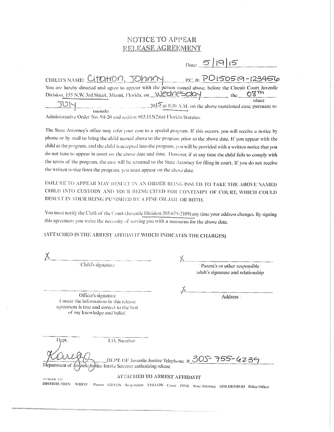### NOTICE TO APPEAR RELEASE AGREEMENT

|                                                                                                                                                                                     |                                                              | $_{\text{Date:}}$ 5   19   15 |        |
|-------------------------------------------------------------------------------------------------------------------------------------------------------------------------------------|--------------------------------------------------------------|-------------------------------|--------|
| CHILD'S NAME: CITOHON, JOHNNY P.C. #: POISOS19-123456                                                                                                                               |                                                              |                               |        |
| You are hereby directed and agree to appear with the person named above, before the Circuit Court Juvenile<br>Division, 155 N.W. 3rd Street, Miami, Florida, on Wechnesday the 08Th |                                                              |                               |        |
|                                                                                                                                                                                     | , 2015 at 8:30 A.M. on the above mentioned case, pursuant to |                               | (date) |
| (month)                                                                                                                                                                             |                                                              |                               |        |

Administrative Order No. 94-20 and section 985.115(2)(a) Florida Statutes.

The State Attorney's office may refer your case to a special program. If this occurs, you will receive a notice by phone or by mail to bring the child named above to the program prior to the above date. If you appear with the child at the program, and the child is accepted into the program, you will be provided with a written notice that you do not have to appear in court on the above date and time. However, if at any time the child fails to comply with the terms of the program, the case will be returned to the State Attorney for filing in court. If you do not receive the written notice from the program, you must appear on the above date.

FAILURE TO APPEAR MAY RESULT IN AN ORDER BEING ISSUED TO TAKE THE ABOVE NAMED CHILD INTO CUSTODY AND YOUR BEING CITED FOR CONTEMPT OF COURT, WHICH COULD RESULT IN YOUR BEING PUNISHED BY A FINE OR JAIL OR BOTH.

You must notify the Clerk of the Court (Juvenile Division 305-679-2189) any time your address changes. By signing this agreement you waive the necessity of serving you with a summons for the above date.

(ATTACHED IS THE ARREST AFFIDAVIT WHICH INDICATES THE CHARGES)

| Child's signature |                                                                                                                                            |                                                                   |                              | Parent's or other responsible<br>adult's signature and relationship                                     |  |  |
|-------------------|--------------------------------------------------------------------------------------------------------------------------------------------|-------------------------------------------------------------------|------------------------------|---------------------------------------------------------------------------------------------------------|--|--|
|                   |                                                                                                                                            |                                                                   |                              |                                                                                                         |  |  |
|                   | Officer's signature<br>I swear the information in this release<br>agreement is true and correct to the best<br>of my knowledge and belief. |                                                                   |                              | Address                                                                                                 |  |  |
| Dept.             |                                                                                                                                            | LD. Number                                                        |                              |                                                                                                         |  |  |
|                   |                                                                                                                                            | Department of Juvenile/Juvice Intake Sereener authorizing release |                              | ,DEPT, OF Juvenile Justice Telephone $\#$ 30S = 75S = 4239                                              |  |  |
| 117.01-101 4215   |                                                                                                                                            |                                                                   | ATTACHED TO ARREST AFFIDAVIT |                                                                                                         |  |  |
|                   |                                                                                                                                            |                                                                   |                              | DISTRIBUTION: WHITE - Parent GREEN-Respondent YELLOW-Court PINK-State Attorney GOLDENROD-Police Officer |  |  |